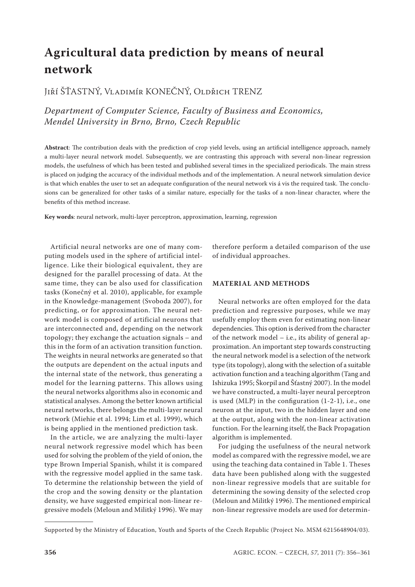# **Agricultural data prediction by means of neural network**

Jiří ŠŤASTNÝ, Vladimír KONEČNÝ, Oldřich TRENZ

*Department of Computer Science, Faculty of Business and Economics, Mendel University in Brno, Brno, Czech Republic*

**Abstract**: The contribution deals with the prediction of crop yield levels, using an artificial intelligence approach, namely a multi-layer neural network model. Subsequently, we are contrasting this approach with several non-linear regression models, the usefulness of which has been tested and published several times in the specialized periodicals. The main stress is placed on judging the accuracy of the individual methods and of the implementation. A neural network simulation device is that which enables the user to set an adequate configuration of the neural network vis á vis the required task. The conclusions can be generalized for other tasks of a similar nature, especially for the tasks of a non-linear character, where the benefits of this method increase.

**Key words**: neural network, multi-layer perceptron, approximation, learning, regression

Artificial neural networks are one of many computing models used in the sphere of artificial intelligence. Like their biological equivalent, they are designed for the parallel processing of data. At the same time, they can be also used for classification tasks (Konečný et al. 2010), applicable, for example in the Knowledge-management (Svoboda 2007), for predicting, or for approximation. The neural network model is composed of artificial neurons that are interconnected and, depending on the network topology; they exchange the actuation signals – and this in the form of an activation transition function. The weights in neural networks are generated so that the outputs are dependent on the actual inputs and the internal state of the network, thus generating a model for the learning patterns. This allows using the neural networks algorithms also in economic and statistical analyses. Among the better known artificial neural networks, there belongs the multi-layer neural network (Miehie et al. 1994; Lim et al. 1999), which is being applied in the mentioned prediction task.

In the article, we are analyzing the multi-layer neural network regressive model which has been used for solving the problem of the yield of onion, the type Brown Imperial Spanish, whilst it is compared with the regressive model applied in the same task. To determine the relationship between the yield of the crop and the sowing density or the plantation density, we have suggested empirical non-linear regressive models (Meloun and Militký 1996). We may

therefore perform a detailed comparison of the use of individual approaches.

# **MATERIAL AND METHODS**

Neural networks are often employed for the data prediction and regressive purposes, while we may usefully employ them even for estimating non-linear dependencies. This option is derived from the character of the network model – i.e., its ability of general approximation. An important step towards constructing the neural network model is a selection of the network type (its topology), along with the selection of a suitable activation function and a teaching algorithm (Tang and Ishizuka 1995; Škorpil and Šťastný 2007). In the model we have constructed, a multi-layer neural perceptron is used (MLP) in the configuration (1-2-1), i.e., one neuron at the input, two in the hidden layer and one at the output, along with the non-linear activation function. For the learning itself, the Back Propagation algorithm is implemented.

For judging the usefulness of the neural network model as compared with the regressive model, we are using the teaching data contained in Table 1. Theses data have been published along with the suggested non-linear regressive models that are suitable for determining the sowing density of the selected crop (Meloun and Militký 1996). The mentioned empirical non-linear regressive models are used for determin-

Supported by the Ministry of Education, Youth and Sports of the Czech Republic (Project No. MSM 6215648904/03).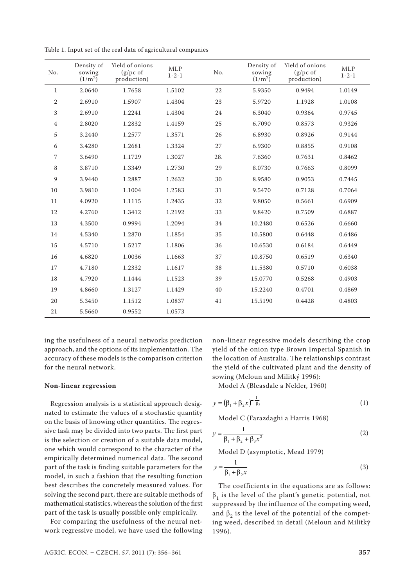| No.            | Density of<br>sowing<br>$(1/m^2)$ | Yield of onions<br>$(g/pc \text{ of }$<br>production) | <b>MLP</b><br>$1 - 2 - 1$ | No. | Density of<br>sowing<br>$(1/m^2)$ | Yield of onions<br>$(g/pc \text{ of }$<br>production) | <b>MLP</b><br>$1 - 2 - 1$ |
|----------------|-----------------------------------|-------------------------------------------------------|---------------------------|-----|-----------------------------------|-------------------------------------------------------|---------------------------|
| 1              | 2.0640                            | 1.7658                                                | 1.5102                    | 22  | 5.9350                            | 0.9494                                                | 1.0149                    |
| 2              | 2.6910                            | 1.5907                                                | 1.4304                    | 23  | 5.9720                            | 1.1928                                                | 1.0108                    |
| 3              | 2.6910                            | 1.2241                                                | 1.4304                    | 24  | 6.3040                            | 0.9364                                                | 0.9745                    |
| $\overline{4}$ | 2.8020                            | 1.2832                                                | 1.4159                    | 25  | 6.7090                            | 0.8573                                                | 0.9326                    |
| 5              | 3.2440                            | 1.2577                                                | 1.3571                    | 26  | 6.8930                            | 0.8926                                                | 0.9144                    |
| 6              | 3.4280                            | 1.2681                                                | 1.3324                    | 27  | 6.9300                            | 0.8855                                                | 0.9108                    |
| 7              | 3.6490                            | 1.1729                                                | 1.3027                    | 28. | 7.6360                            | 0.7631                                                | 0.8462                    |
| 8              | 3.8710                            | 1.3349                                                | 1.2730                    | 29  | 8.0730                            | 0.7663                                                | 0.8099                    |
| 9              | 3.9440                            | 1.2887                                                | 1.2632                    | 30  | 8.9580                            | 0.9053                                                | 0.7445                    |
| 10             | 3.9810                            | 1.1004                                                | 1.2583                    | 31  | 9.5470                            | 0.7128                                                | 0.7064                    |
| 11             | 4.0920                            | 1.1115                                                | 1.2435                    | 32  | 9.8050                            | 0.5661                                                | 0.6909                    |
| 12             | 4.2760                            | 1.3412                                                | 1.2192                    | 33  | 9.8420                            | 0.7509                                                | 0.6887                    |
| 13             | 4.3500                            | 0.9994                                                | 1.2094                    | 34  | 10.2480                           | 0.6526                                                | 0.6660                    |
| 14             | 4.5340                            | 1.2870                                                | 1.1854                    | 35  | 10.5800                           | 0.6448                                                | 0.6486                    |
| 15             | 4.5710                            | 1.5217                                                | 1.1806                    | 36  | 10.6530                           | 0.6184                                                | 0.6449                    |
| 16             | 4.6820                            | 1.0036                                                | 1.1663                    | 37  | 10.8750                           | 0.6519                                                | 0.6340                    |
| 17             | 4.7180                            | 1.2332                                                | 1.1617                    | 38  | 11.5380                           | 0.5710                                                | 0.6038                    |
| 18             | 4.7920                            | 1.1444                                                | 1.1523                    | 39  | 15.0770                           | 0.5268                                                | 0.4903                    |
| 19             | 4.8660                            | 1.3127                                                | 1.1429                    | 40  | 15.2240                           | 0.4701                                                | 0.4869                    |
| 20             | 5.3450                            | 1.1512                                                | 1.0837                    | 41  | 15.5190                           | 0.4428                                                | 0.4803                    |
| 21             | 5.5660                            | 0.9552                                                | 1.0573                    |     |                                   |                                                       |                           |

Table 1. Input set of the real data of agricultural companies

ing the usefulness of a neural networks prediction approach, and the options of its implementation. The accuracy of these models is the comparison criterion for the neural network.

# **Non-linear regression**

Regression analysis is a statistical approach designated to estimate the values of a stochastic quantity on the basis of knowing other quantities. The regressive task may be divided into two parts. The first part is the selection or creation of a suitable data model, one which would correspond to the character of the empirically determined numerical data. The second part of the task is finding suitable parameters for the model, in such a fashion that the resulting function best describes the concretely measured values. For solving the second part, there are suitable methods of mathematical statistics, whereas the solution of the first part of the task is usually possible only empirically.

For comparing the usefulness of the neural network regressive model, we have used the following non-linear regressive models describing the crop yield of the onion type Brown Imperial Spanish in the location of Australia. The relationships contrast the yield of the cultivated plant and the density of sowing (Meloun and Militký 1996):

Model A (Bleasdale a Nelder, 1960)

$$
y = (\beta_1 + \beta_2 x)^{-\frac{1}{\beta_3}}
$$
 (1)

Model C (Farazdaghi a Harris 1968)

$$
y = \frac{1}{\beta_1 + \beta_2 + \beta_3 x^2}
$$
 (2)

Model D (asymptotic, Mead 1979)

$$
y = \frac{1}{\beta_1 + \beta_2 x} \tag{3}
$$

The coefficients in the equations are as follows:  $\beta_1$  is the level of the plant's genetic potential, not suppressed by the influence of the competing weed, and  $\beta_2$  is the level of the potential of the competing weed, described in detail (Meloun and Militký 1996).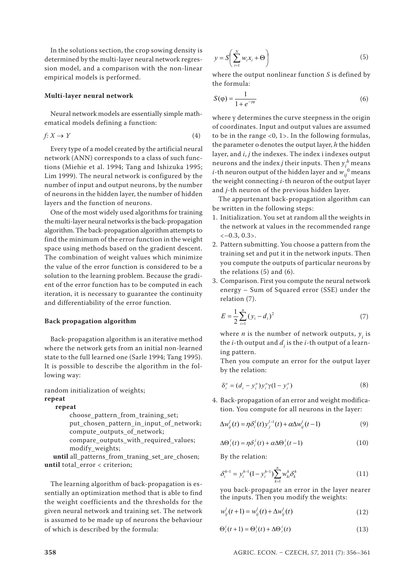In the solutions section, the crop sowing density is determined by the multi-layer neural network regression model, and a comparison with the non-linear empirical models is performed.

### **Multi-layer neural network**

Neural network models are essentially simple mathematical models defining a function:

$$
f: X \to Y \tag{4}
$$

Every type of a model created by the artificial neural network (ANN) corresponds to a class of such functions (Miehie et al. 1994; Tang and Ishizuka 1995; Lim 1999). The neural network is configured by the number of input and output neurons, by the number of neurons in the hidden layer, the number of hidden layers and the function of neurons.

One of the most widely used algorithms for training the multi-layer neural networks is the back-propagation algorithm. The back-propagation algorithm attempts to find the minimum of the error function in the weight space using methods based on the gradient descent. The combination of weight values which minimize the value of the error function is considered to be a solution to the learning problem. Because the gradient of the error function has to be computed in each iteration, it is necessary to guarantee the continuity and differentiability of the error function.

## **Back propagation algorithm**

Back-propagation algorithm is an iterative method where the network gets from an initial non-learned state to the full learned one (Sarle 1994; Tang 1995). It is possible to describe the algorithm in the following way:

random initialization of weights; **repeat**

#### **repeat**

choose\_pattern\_from\_training\_set; put chosen pattern in input of network; compute outputs of network; compare\_outputs\_with\_required\_values; modify\_weights;

 **until** all\_patterns\_from\_traning\_set\_are\_chosen; **until** total error < criterion;

The learning algorithm of back-propagation is essentially an optimization method that is able to find the weight coefficients and the thresholds for the given neural network and training set. The network is assumed to be made up of neurons the behaviour of which is described by the formula:

$$
y = S\left(\sum_{i=1}^{N} w_i x_i + \Theta\right)
$$
 (5)

where the output nonlinear function *S* is defined by the formula:

$$
S(\varphi) = \frac{1}{1 + e^{-\gamma \varphi}}\tag{6}
$$

where γ determines the curve steepness in the origin of coordinates. Input and output values are assumed to be in the range <0, 1>. In the following formulas, the parameter o denotes the output layer, *h* the hidden layer, and *i*, *j* the indexes. The index i indexes output neurons and the index *j* their inputs. Then  $y_i^h$  means *i*-th neuron output of the hidden layer and  $w_{ij}^{\,0}$  means the weight connecting *i*-th neuron of the output layer and *j*-th neuron of the previous hidden layer.

The appurtenant back-propagation algorithm can be written in the following steps:

- 1. Initialization. You set at random all the weights in the network at values in the recommended range  $<-0.3, 0.3$ .
- 2. Pattern submitting. You choose a pattern from the training set and put it in the network inputs. Then you compute the outputs of particular neurons by the relations (5) and (6).
- 3. Comparison. First you compute the neural network energy – Sum of Squared error (SSE) under the relation (7).

$$
E = \frac{1}{2} \sum_{i=1}^{n} (y_i - d_i)^2
$$
 (7)

where  $n$  is the number of network outputs,  $y_i^{\dagger}$  is the  $i$ -th output and  $d_i$  is the  $i$ -th output of a learning pattern.

Then you compute an error for the output layer by the relation:

$$
\delta_i^o = (d_i - y_i^o) y_i^o \gamma (1 - y_i^o) \tag{8}
$$

4. Back-propagation of an error and weight modification. You compute for all neurons in the layer:

$$
\Delta w_{ij}^l(t) = \eta \delta_i^l(t) y_j^{l-1}(t) + \alpha \Delta w_{ij}^l(t-1)
$$
\n(9)

$$
\Delta \Theta_i^l(t) = \eta \delta_i^l(t) + \alpha \Delta \Theta_i^l(t-1)
$$
\n(10)

By the relation:

$$
\delta_i^{h-1} = y_i^{h-1} (1 - y_i^{h-1}) \sum_{k=1}^n w_{ki}^h \delta_k^h
$$
 (11)

you back-propagate an error in the layer nearer the inputs. Then you modify the weights:

$$
w_{ij}^{l}(t+1) = w_{ij}^{l}(t) + \Delta w_{ij}^{l}(t)
$$
\n(12)

$$
\Theta_i^l(t+1) = \Theta_i^l(t) + \Delta \Theta_i^l(t)
$$
\n(13)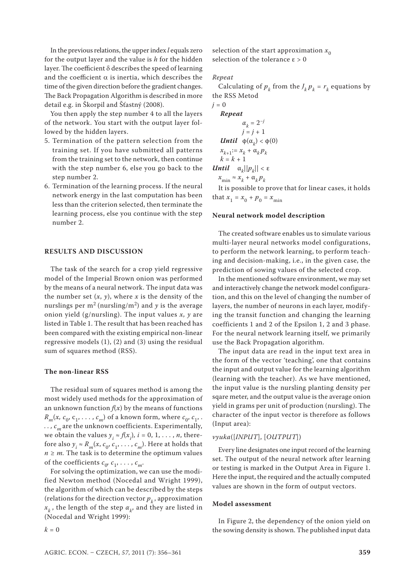In the previous relations, the upper index *l* equals zero for the output layer and the value is *h* for the hidden layer. The coefficient δ describes the speed of learning and the coefficient  $\alpha$  is inertia, which describes the time of the given direction before the gradient changes. The Back Propagation Algorithm is described in more detail e.g. in Škorpil and Šťastný (2008).

You then apply the step number 4 to all the layers of the network. You start with the output layer followed by the hidden layers.

- 5. Termination of the pattern selection from the training set. If you have submitted all patterns from the training set to the network, then continue with the step number 6, else you go back to the step number 2.
- 6. Termination of the learning process. If the neural network energy in the last computation has been less than the criterion selected, then terminate the learning process, else you continue with the step number 2.

# **RESULTS AND DISCUSSION**

The task of the search for a crop yield regressive model of the Imperial Brown onion was performed by the means of a neural network. The input data was the number set  $(x, y)$ , where *x* is the density of the nurslings per  $m^2$  (nursling/m<sup>2</sup>) and *y* is the average onion yield (g/nursling). The input values *x, y* are listed in Table 1. The result that has been reached has been compared with the existing empirical non-linear regressive models (1), (2) and (3) using the residual sum of squares method (RSS).

# **The non-linear RSS**

The residual sum of squares method is among the most widely used methods for the approximation of an unknown function  $f(x)$  by the means of functions  $R_m(x, c_0, c_1, \ldots, c_m)$  of a known form, where  $c_0, c_1, \ldots$  $\ldots$ ,  $c_m$  are the unknown coefficients. Experimentally, we obtain the values  $y_i \approx f(x_i)$ ,  $i = 0, 1, \ldots, n$ , therefore also  $y_i \approx R_m(x, c_0, c_1, \ldots, c_m)$ . Here at holds that  $n \geq m$ . The task is to determine the optimum values of the coefficients  $c_0$ ,  $c_1$ , . . . ,  $c_m$ .

For solving the optimization, we can use the modified Newton method (Nocedal and Wright 1999), the algorithm of which can be described by the steps (relations for the direction vector  $p_k$ , approximation  $x_{k}^{\phantom{\dag}},$  the length of the step  $\alpha_{k^{\prime}}$  and they are listed in (Nocedal and Wright 1999):

selection of the start approximation  $x_0$ selection of the tolerance  $\varepsilon > 0$ 

#### *Repeat*

Calculating of  $p_k$  from the  $J_k p_k = r_k$  equations by the RSS Metod

 $j = 0$ *Repeat*  $\alpha_k = 2^{-j}$  $j = j + 1$ *Until*  $\phi$ (α<sub>*k*</sub>) <  $\phi$ (0)  $x_{k+1} := x_k + \alpha_k p_k$  $k = k + 1$ *Until*  $\alpha_k ||p_k|| < ε$  $x_{\min} \approx x_k + \alpha_k p_k$ 

It is possible to prove that for linear cases, it holds that  $x_1 = x_0 + p_0 = x_{\min}$ 

#### **Neural network model description**

The created software enables us to simulate various multi-layer neural networks model configurations, to perform the network learning, to perform teaching and decision-making, i.e., in the given case, the prediction of sowing values of the selected crop.

In the mentioned software environment, we may set and interactively change the network model configuration, and this on the level of changing the number of layers, the number of neurons in each layer, modifying the transit function and changing the learning coefficients 1 and 2 of the Epsilon 1, 2 and 3 phase. For the neural network learning itself, we primarily use the Back Propagation algorithm.

The input data are read in the input text area in the form of the vector 'teaching', one that contains the input and output value for the learning algorithm (learning with the teacher). As we have mentioned, the input value is the nursling planting density per sqare meter, and the output value is the average onion yield in grams per unit of production (nursling). The character of the input vector is therefore as follows (Input area):

# *vyuka*([*INPUT*], [*OUTPUT*])

Every line designates one input record of the learning set. The output of the neural network after learning or testing is marked in the Output Area in Figure 1. Here the input, the required and the actually computed values are shown in the form of output vectors.

## **Model assessment**

In Figure 2, the dependency of the onion yield on the sowing density is shown. The published input data

 $k = 0$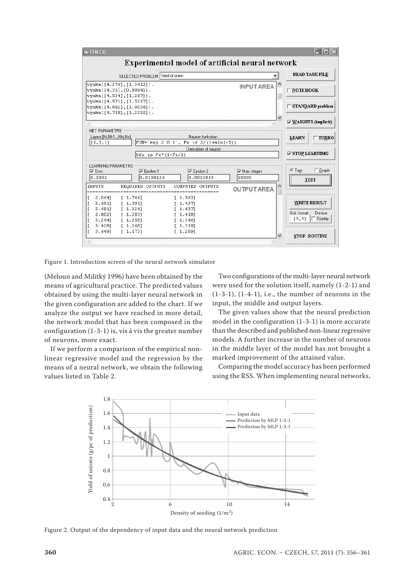

Figure 1. Introduction screen of the neural network simulator

(Meloun and Militký 1996) have been obtained by the means of agricultural practice. The predicted values obtained by using the multi-layer neural network in the given configuration are added to the chart. If we analyze the output we have reached in more detail, the network model that has been composed in the configuration (1-3-1) is, vis á vis the greater number of neurons, more exact.

If we perform a comparison of the empirical nonlinear regressive model and the regression by the means of a neural network, we obtain the following values listed in Table 2.

Two configurations of the multi-layer neural network were used for the solution itself, namely (1-2-1) and (1-3-1), (1-4-1), i.e., the number of neurons in the input, the middle and output layers.

The given values show that the neural prediction model in the configuration (1-3-1) is more accurate than the described and published non-linear regressive models. A further increase in the number of neurons in the middle layer of the model has not brought a marked improvement of the attained value.

Comparing the model accuracy has been performed using the RSS. When implementing neural networks,



Figure 2. Output of the dependency of input data and the neural network prediction